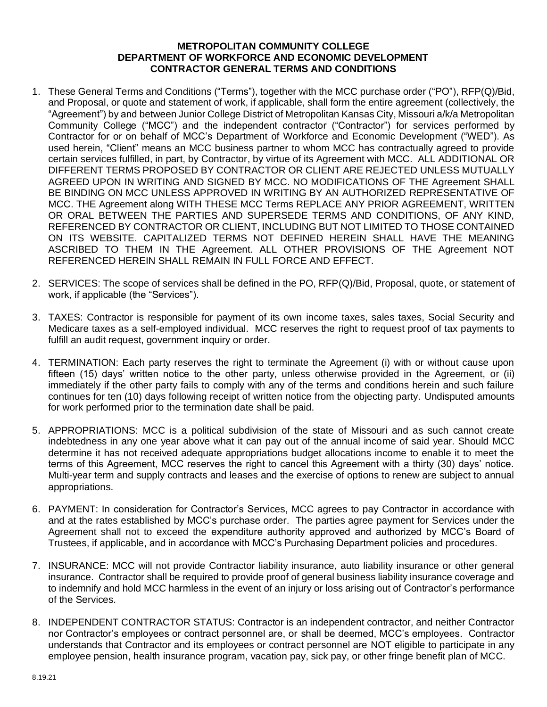## **METROPOLITAN COMMUNITY COLLEGE DEPARTMENT OF WORKFORCE AND ECONOMIC DEVELOPMENT CONTRACTOR GENERAL TERMS AND CONDITIONS**

- 1. These General Terms and Conditions ("Terms"), together with the MCC purchase order ("PO"), RFP(Q)/Bid, and Proposal, or quote and statement of work, if applicable, shall form the entire agreement (collectively, the "Agreement") by and between Junior College District of Metropolitan Kansas City, Missouri a/k/a Metropolitan Community College ("MCC") and the independent contractor ("Contractor") for services performed by Contractor for or on behalf of MCC's Department of Workforce and Economic Development ("WED"). As used herein, "Client" means an MCC business partner to whom MCC has contractually agreed to provide certain services fulfilled, in part, by Contractor, by virtue of its Agreement with MCC. ALL ADDITIONAL OR DIFFERENT TERMS PROPOSED BY CONTRACTOR OR CLIENT ARE REJECTED UNLESS MUTUALLY AGREED UPON IN WRITING AND SIGNED BY MCC. NO MODIFICATIONS OF THE Agreement SHALL BE BINDING ON MCC UNLESS APPROVED IN WRITING BY AN AUTHORIZED REPRESENTATIVE OF MCC. THE Agreement along WITH THESE MCC Terms REPLACE ANY PRIOR AGREEMENT, WRITTEN OR ORAL BETWEEN THE PARTIES AND SUPERSEDE TERMS AND CONDITIONS, OF ANY KIND, REFERENCED BY CONTRACTOR OR CLIENT, INCLUDING BUT NOT LIMITED TO THOSE CONTAINED ON ITS WEBSITE. CAPITALIZED TERMS NOT DEFINED HEREIN SHALL HAVE THE MEANING ASCRIBED TO THEM IN THE Agreement. ALL OTHER PROVISIONS OF THE Agreement NOT REFERENCED HEREIN SHALL REMAIN IN FULL FORCE AND EFFECT.
- 2. SERVICES: The scope of services shall be defined in the PO, RFP(Q)/Bid, Proposal, quote, or statement of work, if applicable (the "Services").
- 3. TAXES: Contractor is responsible for payment of its own income taxes, sales taxes, Social Security and Medicare taxes as a self-employed individual. MCC reserves the right to request proof of tax payments to fulfill an audit request, government inquiry or order.
- 4. TERMINATION: Each party reserves the right to terminate the Agreement (i) with or without cause upon fifteen (15) days' written notice to the other party, unless otherwise provided in the Agreement, or (ii) immediately if the other party fails to comply with any of the terms and conditions herein and such failure continues for ten (10) days following receipt of written notice from the objecting party. Undisputed amounts for work performed prior to the termination date shall be paid.
- 5. APPROPRIATIONS: MCC is a political subdivision of the state of Missouri and as such cannot create indebtedness in any one year above what it can pay out of the annual income of said year. Should MCC determine it has not received adequate appropriations budget allocations income to enable it to meet the terms of this Agreement, MCC reserves the right to cancel this Agreement with a thirty (30) days' notice. Multi-year term and supply contracts and leases and the exercise of options to renew are subject to annual appropriations.
- 6. PAYMENT: In consideration for Contractor's Services, MCC agrees to pay Contractor in accordance with and at the rates established by MCC's purchase order. The parties agree payment for Services under the Agreement shall not to exceed the expenditure authority approved and authorized by MCC's Board of Trustees, if applicable, and in accordance with MCC's Purchasing Department policies and procedures.
- 7. INSURANCE: MCC will not provide Contractor liability insurance, auto liability insurance or other general insurance. Contractor shall be required to provide proof of general business liability insurance coverage and to indemnify and hold MCC harmless in the event of an injury or loss arising out of Contractor's performance of the Services.
- 8. INDEPENDENT CONTRACTOR STATUS: Contractor is an independent contractor, and neither Contractor nor Contractor's employees or contract personnel are, or shall be deemed, MCC's employees. Contractor understands that Contractor and its employees or contract personnel are NOT eligible to participate in any employee pension, health insurance program, vacation pay, sick pay, or other fringe benefit plan of MCC.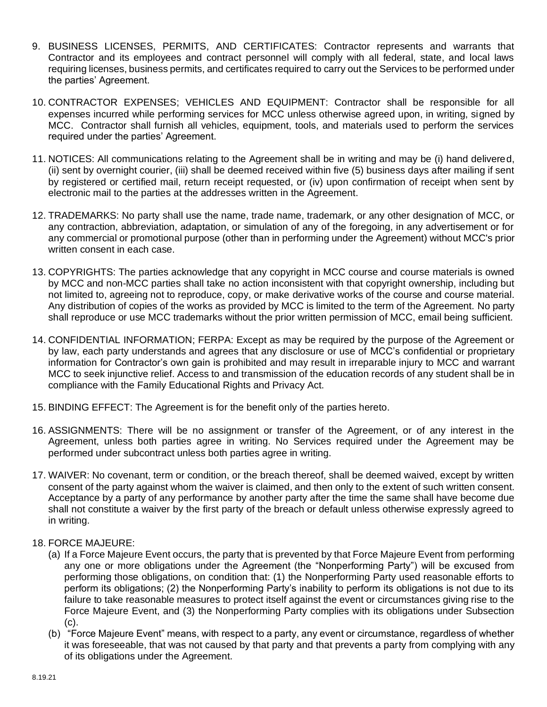- 9. BUSINESS LICENSES, PERMITS, AND CERTIFICATES: Contractor represents and warrants that Contractor and its employees and contract personnel will comply with all federal, state, and local laws requiring licenses, business permits, and certificates required to carry out the Services to be performed under the parties' Agreement.
- 10. CONTRACTOR EXPENSES; VEHICLES AND EQUIPMENT: Contractor shall be responsible for all expenses incurred while performing services for MCC unless otherwise agreed upon, in writing, signed by MCC. Contractor shall furnish all vehicles, equipment, tools, and materials used to perform the services required under the parties' Agreement.
- 11. NOTICES: All communications relating to the Agreement shall be in writing and may be (i) hand delivered, (ii) sent by overnight courier, (iii) shall be deemed received within five (5) business days after mailing if sent by registered or certified mail, return receipt requested, or (iv) upon confirmation of receipt when sent by electronic mail to the parties at the addresses written in the Agreement.
- 12. TRADEMARKS: No party shall use the name, trade name, trademark, or any other designation of MCC, or any contraction, abbreviation, adaptation, or simulation of any of the foregoing, in any advertisement or for any commercial or promotional purpose (other than in performing under the Agreement) without MCC's prior written consent in each case.
- 13. COPYRIGHTS: The parties acknowledge that any copyright in MCC course and course materials is owned by MCC and non-MCC parties shall take no action inconsistent with that copyright ownership, including but not limited to, agreeing not to reproduce, copy, or make derivative works of the course and course material. Any distribution of copies of the works as provided by MCC is limited to the term of the Agreement. No party shall reproduce or use MCC trademarks without the prior written permission of MCC, email being sufficient.
- 14. CONFIDENTIAL INFORMATION; FERPA: Except as may be required by the purpose of the Agreement or by law, each party understands and agrees that any disclosure or use of MCC's confidential or proprietary information for Contractor's own gain is prohibited and may result in irreparable injury to MCC and warrant MCC to seek injunctive relief. Access to and transmission of the education records of any student shall be in compliance with the Family Educational Rights and Privacy Act.
- 15. BINDING EFFECT: The Agreement is for the benefit only of the parties hereto.
- 16. ASSIGNMENTS: There will be no assignment or transfer of the Agreement, or of any interest in the Agreement, unless both parties agree in writing. No Services required under the Agreement may be performed under subcontract unless both parties agree in writing.
- 17. WAIVER: No covenant, term or condition, or the breach thereof, shall be deemed waived, except by written consent of the party against whom the waiver is claimed, and then only to the extent of such written consent. Acceptance by a party of any performance by another party after the time the same shall have become due shall not constitute a waiver by the first party of the breach or default unless otherwise expressly agreed to in writing.
- 18. FORCE MAJEURE:
	- (a) If a Force Majeure Event occurs, the party that is prevented by that Force Majeure Event from performing any one or more obligations under the Agreement (the "Nonperforming Party") will be excused from performing those obligations, on condition that: (1) the Nonperforming Party used reasonable efforts to perform its obligations; (2) the Nonperforming Party's inability to perform its obligations is not due to its failure to take reasonable measures to protect itself against the event or circumstances giving rise to the Force Majeure Event, and (3) the Nonperforming Party complies with its obligations under Subsection (c).
	- (b) "Force Majeure Event" means, with respect to a party, any event or circumstance, regardless of whether it was foreseeable, that was not caused by that party and that prevents a party from complying with any of its obligations under the Agreement.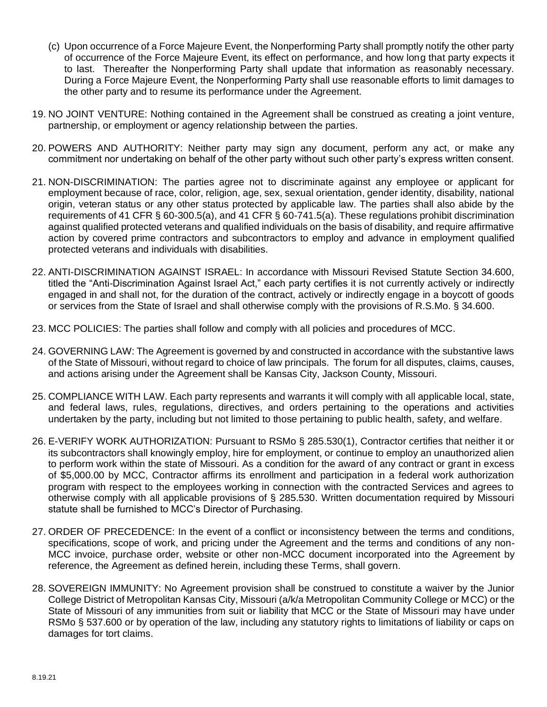- (c) Upon occurrence of a Force Majeure Event, the Nonperforming Party shall promptly notify the other party of occurrence of the Force Majeure Event, its effect on performance, and how long that party expects it to last. Thereafter the Nonperforming Party shall update that information as reasonably necessary. During a Force Majeure Event, the Nonperforming Party shall use reasonable efforts to limit damages to the other party and to resume its performance under the Agreement.
- 19. NO JOINT VENTURE: Nothing contained in the Agreement shall be construed as creating a joint venture, partnership, or employment or agency relationship between the parties.
- 20. POWERS AND AUTHORITY: Neither party may sign any document, perform any act, or make any commitment nor undertaking on behalf of the other party without such other party's express written consent.
- 21. NON-DISCRIMINATION: The parties agree not to discriminate against any employee or applicant for employment because of race, color, religion, age, sex, sexual orientation, gender identity, disability, national origin, veteran status or any other status protected by applicable law. The parties shall also abide by the requirements of 41 CFR § 60-300.5(a), and 41 CFR § 60-741.5(a). These regulations prohibit discrimination against qualified protected veterans and qualified individuals on the basis of disability, and require affirmative action by covered prime contractors and subcontractors to employ and advance in employment qualified protected veterans and individuals with disabilities.
- 22. ANTI-DISCRIMINATION AGAINST ISRAEL: In accordance with Missouri Revised Statute Section 34.600, titled the "Anti-Discrimination Against Israel Act," each party certifies it is not currently actively or indirectly engaged in and shall not, for the duration of the contract, actively or indirectly engage in a boycott of goods or services from the State of Israel and shall otherwise comply with the provisions of R.S.Mo. § 34.600.
- 23. MCC POLICIES: The parties shall follow and comply with all policies and procedures of MCC.
- 24. GOVERNING LAW: The Agreement is governed by and constructed in accordance with the substantive laws of the State of Missouri, without regard to choice of law principals. The forum for all disputes, claims, causes, and actions arising under the Agreement shall be Kansas City, Jackson County, Missouri.
- 25. COMPLIANCE WITH LAW. Each party represents and warrants it will comply with all applicable local, state, and federal laws, rules, regulations, directives, and orders pertaining to the operations and activities undertaken by the party, including but not limited to those pertaining to public health, safety, and welfare.
- 26. E-VERIFY WORK AUTHORIZATION: Pursuant to RSMo § 285.530(1), Contractor certifies that neither it or its subcontractors shall knowingly employ, hire for employment, or continue to employ an unauthorized alien to perform work within the state of Missouri. As a condition for the award of any contract or grant in excess of \$5,000.00 by MCC, Contractor affirms its enrollment and participation in a federal work authorization program with respect to the employees working in connection with the contracted Services and agrees to otherwise comply with all applicable provisions of § 285.530. Written documentation required by Missouri statute shall be furnished to MCC's Director of Purchasing.
- 27. ORDER OF PRECEDENCE: In the event of a conflict or inconsistency between the terms and conditions, specifications, scope of work, and pricing under the Agreement and the terms and conditions of any non-MCC invoice, purchase order, website or other non-MCC document incorporated into the Agreement by reference, the Agreement as defined herein, including these Terms, shall govern.
- 28. SOVEREIGN IMMUNITY: No Agreement provision shall be construed to constitute a waiver by the Junior College District of Metropolitan Kansas City, Missouri (a/k/a Metropolitan Community College or MCC) or the State of Missouri of any immunities from suit or liability that MCC or the State of Missouri may have under RSMo § 537.600 or by operation of the law, including any statutory rights to limitations of liability or caps on damages for tort claims.